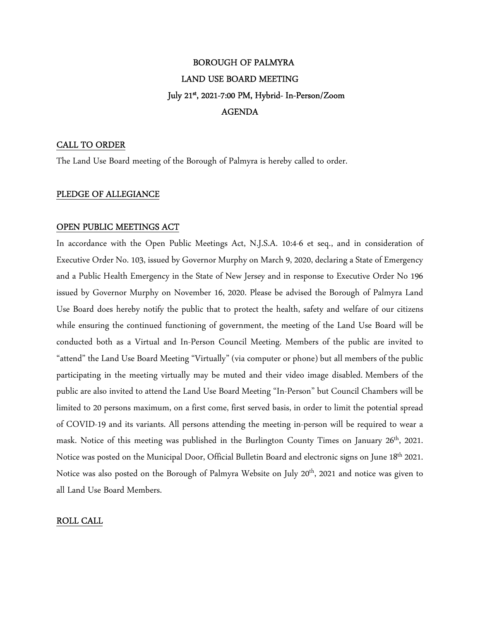# BOROUGH OF PALMYRA LAND USE BOARD MEETING July 21st , 2021-7:00 PM, Hybrid- In-Person/Zoom AGENDA

## CALL TO ORDER

The Land Use Board meeting of the Borough of Palmyra is hereby called to order.

### PLEDGE OF ALLEGIANCE

#### OPEN PUBLIC MEETINGS ACT

In accordance with the Open Public Meetings Act, N.J.S.A. 10:4-6 et seq., and in consideration of Executive Order No. 103, issued by Governor Murphy on March 9, 2020, declaring a State of Emergency and a Public Health Emergency in the State of New Jersey and in response to Executive Order No 196 issued by Governor Murphy on November 16, 2020. Please be advised the Borough of Palmyra Land Use Board does hereby notify the public that to protect the health, safety and welfare of our citizens while ensuring the continued functioning of government, the meeting of the Land Use Board will be conducted both as a Virtual and In-Person Council Meeting. Members of the public are invited to "attend" the Land Use Board Meeting "Virtually" (via computer or phone) but all members of the public participating in the meeting virtually may be muted and their video image disabled. Members of the public are also invited to attend the Land Use Board Meeting "In-Person" but Council Chambers will be limited to 20 persons maximum, on a first come, first served basis, in order to limit the potential spread of COVID-19 and its variants. All persons attending the meeting in-person will be required to wear a mask. Notice of this meeting was published in the Burlington County Times on January 26<sup>th</sup>, 2021. Notice was posted on the Municipal Door, Official Bulletin Board and electronic signs on June 18th 2021. Notice was also posted on the Borough of Palmyra Website on July 20<sup>th</sup>, 2021 and notice was given to all Land Use Board Members.

### ROLL CALL